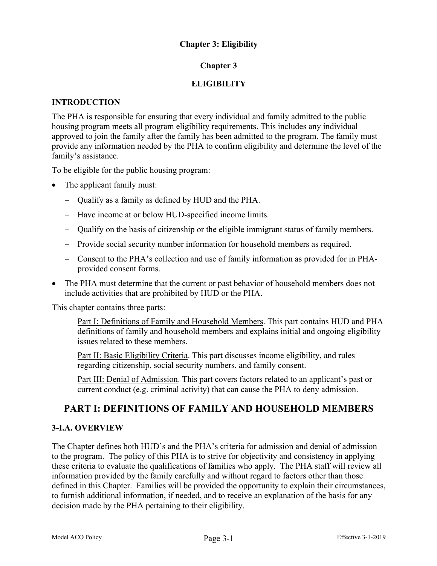# **Chapter 3**

# **ELIGIBILITY**

### **INTRODUCTION**

The PHA is responsible for ensuring that every individual and family admitted to the public housing program meets all program eligibility requirements. This includes any individual approved to join the family after the family has been admitted to the program. The family must provide any information needed by the PHA to confirm eligibility and determine the level of the family's assistance.

To be eligible for the public housing program:

- The applicant family must:
	- Qualify as a family as defined by HUD and the PHA.
	- Have income at or below HUD-specified income limits.
	- Qualify on the basis of citizenship or the eligible immigrant status of family members.
	- Provide social security number information for household members as required.
	- Consent to the PHA's collection and use of family information as provided for in PHAprovided consent forms.
- The PHA must determine that the current or past behavior of household members does not include activities that are prohibited by HUD or the PHA.

This chapter contains three parts:

Part I: Definitions of Family and Household Members. This part contains HUD and PHA definitions of family and household members and explains initial and ongoing eligibility issues related to these members.

Part II: Basic Eligibility Criteria. This part discusses income eligibility, and rules regarding citizenship, social security numbers, and family consent.

Part III: Denial of Admission. This part covers factors related to an applicant's past or current conduct (e.g. criminal activity) that can cause the PHA to deny admission.

# **PART I: DEFINITIONS OF FAMILY AND HOUSEHOLD MEMBERS**

#### **3-I.A. OVERVIEW**

The Chapter defines both HUD's and the PHA's criteria for admission and denial of admission to the program. The policy of this PHA is to strive for objectivity and consistency in applying these criteria to evaluate the qualifications of families who apply. The PHA staff will review all information provided by the family carefully and without regard to factors other than those defined in this Chapter. Families will be provided the opportunity to explain their circumstances, to furnish additional information, if needed, and to receive an explanation of the basis for any decision made by the PHA pertaining to their eligibility.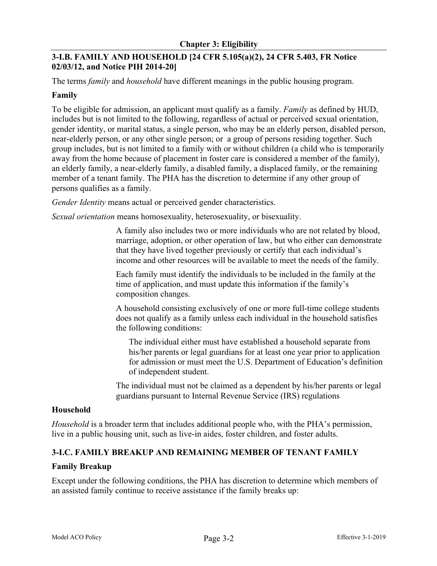# **3-I.B. FAMILY AND HOUSEHOLD [24 CFR 5.105(a)(2), 24 CFR 5.403, FR Notice 02/03/12, and Notice PIH 2014-20]**

The terms *family* and *household* have different meanings in the public housing program.

### **Family**

To be eligible for admission, an applicant must qualify as a family. *Family* as defined by HUD, includes but is not limited to the following, regardless of actual or perceived sexual orientation, gender identity, or marital status, a single person, who may be an elderly person, disabled person, near-elderly person, or any other single person; or a group of persons residing together. Such group includes, but is not limited to a family with or without children (a child who is temporarily away from the home because of placement in foster care is considered a member of the family), an elderly family, a near-elderly family, a disabled family, a displaced family, or the remaining member of a tenant family. The PHA has the discretion to determine if any other group of persons qualifies as a family.

*Gender Identity* means actual or perceived gender characteristics.

*Sexual orientation* means homosexuality, heterosexuality, or bisexuality.

A family also includes two or more individuals who are not related by blood, marriage, adoption, or other operation of law, but who either can demonstrate that they have lived together previously or certify that each individual's income and other resources will be available to meet the needs of the family.

Each family must identify the individuals to be included in the family at the time of application, and must update this information if the family's composition changes.

A household consisting exclusively of one or more full-time college students does not qualify as a family unless each individual in the household satisfies the following conditions:

The individual either must have established a household separate from his/her parents or legal guardians for at least one year prior to application for admission or must meet the U.S. Department of Education's definition of independent student.

The individual must not be claimed as a dependent by his/her parents or legal guardians pursuant to Internal Revenue Service (IRS) regulations

#### **Household**

*Household* is a broader term that includes additional people who, with the PHA's permission, live in a public housing unit, such as live-in aides, foster children, and foster adults.

# **3-I.C. FAMILY BREAKUP AND REMAINING MEMBER OF TENANT FAMILY**

#### **Family Breakup**

Except under the following conditions, the PHA has discretion to determine which members of an assisted family continue to receive assistance if the family breaks up: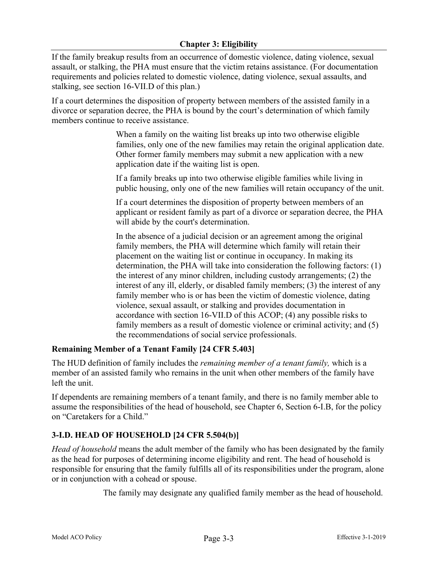If the family breakup results from an occurrence of domestic violence, dating violence, sexual assault, or stalking, the PHA must ensure that the victim retains assistance. (For documentation requirements and policies related to domestic violence, dating violence, sexual assaults, and stalking, see section 16-VII.D of this plan.)

If a court determines the disposition of property between members of the assisted family in a divorce or separation decree, the PHA is bound by the court's determination of which family members continue to receive assistance.

> When a family on the waiting list breaks up into two otherwise eligible families, only one of the new families may retain the original application date. Other former family members may submit a new application with a new application date if the waiting list is open.

> If a family breaks up into two otherwise eligible families while living in public housing, only one of the new families will retain occupancy of the unit.

> If a court determines the disposition of property between members of an applicant or resident family as part of a divorce or separation decree, the PHA will abide by the court's determination.

> In the absence of a judicial decision or an agreement among the original family members, the PHA will determine which family will retain their placement on the waiting list or continue in occupancy. In making its determination, the PHA will take into consideration the following factors: (1) the interest of any minor children, including custody arrangements; (2) the interest of any ill, elderly, or disabled family members; (3) the interest of any family member who is or has been the victim of domestic violence, dating violence, sexual assault, or stalking and provides documentation in accordance with section 16-VII.D of this ACOP; (4) any possible risks to family members as a result of domestic violence or criminal activity; and (5) the recommendations of social service professionals.

# **Remaining Member of a Tenant Family [24 CFR 5.403]**

The HUD definition of family includes the *remaining member of a tenant family,* which is a member of an assisted family who remains in the unit when other members of the family have left the unit.

If dependents are remaining members of a tenant family, and there is no family member able to assume the responsibilities of the head of household, see Chapter 6, Section 6-I.B, for the policy on "Caretakers for a Child."

# **3-I.D. HEAD OF HOUSEHOLD [24 CFR 5.504(b)]**

*Head of household* means the adult member of the family who has been designated by the family as the head for purposes of determining income eligibility and rent. The head of household is responsible for ensuring that the family fulfills all of its responsibilities under the program, alone or in conjunction with a cohead or spouse.

The family may designate any qualified family member as the head of household.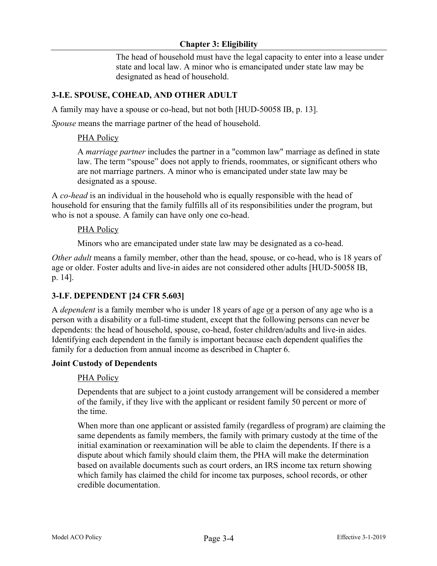### **Chapter 3: Eligibility**

The head of household must have the legal capacity to enter into a lease under state and local law. A minor who is emancipated under state law may be designated as head of household.

# **3-I.E. SPOUSE, COHEAD, AND OTHER ADULT**

A family may have a spouse or co-head, but not both [HUD-50058 IB, p. 13].

*Spouse* means the marriage partner of the head of household.

### PHA Policy

A *marriage partner* includes the partner in a "common law" marriage as defined in state law. The term "spouse" does not apply to friends, roommates, or significant others who are not marriage partners. A minor who is emancipated under state law may be designated as a spouse.

A *co-head* is an individual in the household who is equally responsible with the head of household for ensuring that the family fulfills all of its responsibilities under the program, but who is not a spouse. A family can have only one co-head.

### PHA Policy

Minors who are emancipated under state law may be designated as a co-head.

*Other adult* means a family member, other than the head, spouse, or co-head, who is 18 years of age or older. Foster adults and live-in aides are not considered other adults [HUD-50058 IB, p. 14].

# **3-I.F. DEPENDENT [24 CFR 5.603]**

A *dependent* is a family member who is under 18 years of age or a person of any age who is a person with a disability or a full-time student, except that the following persons can never be dependents: the head of household, spouse, co-head, foster children/adults and live-in aides*.*  Identifying each dependent in the family is important because each dependent qualifies the family for a deduction from annual income as described in Chapter 6.

#### **Joint Custody of Dependents**

# PHA Policy

Dependents that are subject to a joint custody arrangement will be considered a member of the family, if they live with the applicant or resident family 50 percent or more of the time.

When more than one applicant or assisted family (regardless of program) are claiming the same dependents as family members, the family with primary custody at the time of the initial examination or reexamination will be able to claim the dependents. If there is a dispute about which family should claim them, the PHA will make the determination based on available documents such as court orders, an IRS income tax return showing which family has claimed the child for income tax purposes, school records, or other credible documentation.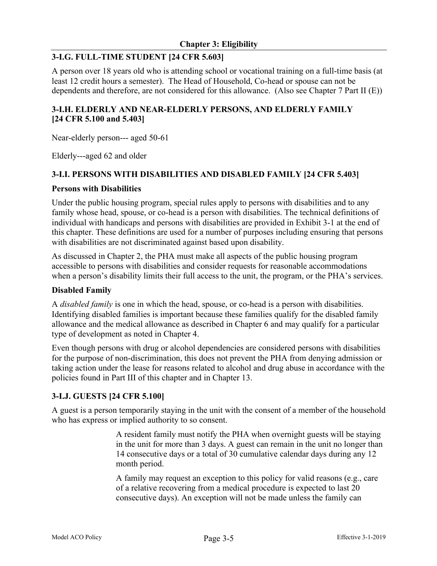### **3-I.G. FULL-TIME STUDENT [24 CFR 5.603]**

A person over 18 years old who is attending school or vocational training on a full-time basis (at least 12 credit hours a semester). The Head of Household, Co-head or spouse can not be dependents and therefore, are not considered for this allowance. (Also see Chapter 7 Part II (E))

### **3-I.H. ELDERLY AND NEAR-ELDERLY PERSONS, AND ELDERLY FAMILY [24 CFR 5.100 and 5.403]**

Near-elderly person--- aged 50-61

Elderly---aged 62 and older

#### **3-I.I. PERSONS WITH DISABILITIES AND DISABLED FAMILY [24 CFR 5.403]**

#### **Persons with Disabilities**

Under the public housing program, special rules apply to persons with disabilities and to any family whose head, spouse, or co-head is a person with disabilities. The technical definitions of individual with handicaps and persons with disabilities are provided in Exhibit 3-1 at the end of this chapter. These definitions are used for a number of purposes including ensuring that persons with disabilities are not discriminated against based upon disability.

As discussed in Chapter 2, the PHA must make all aspects of the public housing program accessible to persons with disabilities and consider requests for reasonable accommodations when a person's disability limits their full access to the unit, the program, or the PHA's services.

#### **Disabled Family**

A *disabled family* is one in which the head, spouse, or co-head is a person with disabilities. Identifying disabled families is important because these families qualify for the disabled family allowance and the medical allowance as described in Chapter 6 and may qualify for a particular type of development as noted in Chapter 4.

Even though persons with drug or alcohol dependencies are considered persons with disabilities for the purpose of non-discrimination, this does not prevent the PHA from denying admission or taking action under the lease for reasons related to alcohol and drug abuse in accordance with the policies found in Part III of this chapter and in Chapter 13.

#### **3-I.J. GUESTS [24 CFR 5.100]**

A guest is a person temporarily staying in the unit with the consent of a member of the household who has express or implied authority to so consent.

> A resident family must notify the PHA when overnight guests will be staying in the unit for more than 3 days. A guest can remain in the unit no longer than 14 consecutive days or a total of 30 cumulative calendar days during any 12 month period.

A family may request an exception to this policy for valid reasons (e.g., care of a relative recovering from a medical procedure is expected to last 20 consecutive days). An exception will not be made unless the family can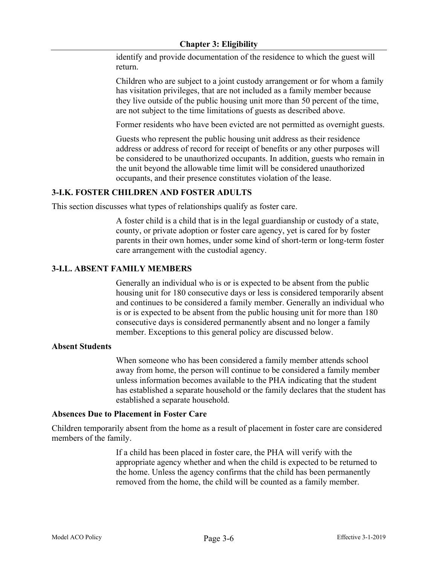identify and provide documentation of the residence to which the guest will return.

Children who are subject to a joint custody arrangement or for whom a family has visitation privileges, that are not included as a family member because they live outside of the public housing unit more than 50 percent of the time, are not subject to the time limitations of guests as described above.

Former residents who have been evicted are not permitted as overnight guests.

Guests who represent the public housing unit address as their residence address or address of record for receipt of benefits or any other purposes will be considered to be unauthorized occupants. In addition, guests who remain in the unit beyond the allowable time limit will be considered unauthorized occupants, and their presence constitutes violation of the lease.

### **3-I.K. FOSTER CHILDREN AND FOSTER ADULTS**

This section discusses what types of relationships qualify as foster care.

A foster child is a child that is in the legal guardianship or custody of a state, county, or private adoption or foster care agency, yet is cared for by foster parents in their own homes, under some kind of short-term or long-term foster care arrangement with the custodial agency.

### **3-I.L. ABSENT FAMILY MEMBERS**

Generally an individual who is or is expected to be absent from the public housing unit for 180 consecutive days or less is considered temporarily absent and continues to be considered a family member. Generally an individual who is or is expected to be absent from the public housing unit for more than 180 consecutive days is considered permanently absent and no longer a family member. Exceptions to this general policy are discussed below.

#### **Absent Students**

When someone who has been considered a family member attends school away from home, the person will continue to be considered a family member unless information becomes available to the PHA indicating that the student has established a separate household or the family declares that the student has established a separate household.

#### **Absences Due to Placement in Foster Care**

Children temporarily absent from the home as a result of placement in foster care are considered members of the family.

> If a child has been placed in foster care, the PHA will verify with the appropriate agency whether and when the child is expected to be returned to the home. Unless the agency confirms that the child has been permanently removed from the home, the child will be counted as a family member.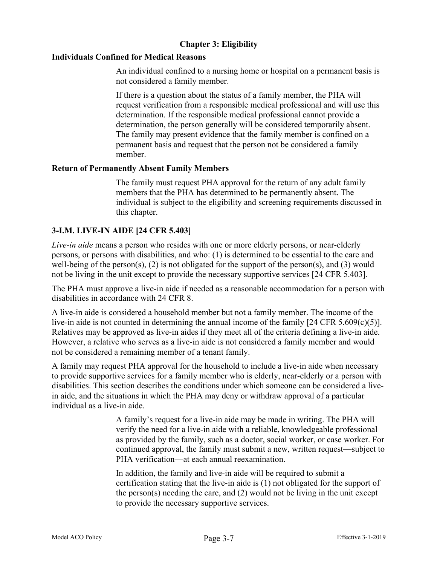#### **Individuals Confined for Medical Reasons**

An individual confined to a nursing home or hospital on a permanent basis is not considered a family member.

If there is a question about the status of a family member, the PHA will request verification from a responsible medical professional and will use this determination. If the responsible medical professional cannot provide a determination, the person generally will be considered temporarily absent. The family may present evidence that the family member is confined on a permanent basis and request that the person not be considered a family member.

### **Return of Permanently Absent Family Members**

The family must request PHA approval for the return of any adult family members that the PHA has determined to be permanently absent. The individual is subject to the eligibility and screening requirements discussed in this chapter.

# **3-I.M. LIVE-IN AIDE [24 CFR 5.403]**

*Live-in aide* means a person who resides with one or more elderly persons, or near-elderly persons, or persons with disabilities, and who: (1) is determined to be essential to the care and well-being of the person(s), (2) is not obligated for the support of the person(s), and (3) would not be living in the unit except to provide the necessary supportive services [24 CFR 5.403].

The PHA must approve a live-in aide if needed as a reasonable accommodation for a person with disabilities in accordance with 24 CFR 8.

A live-in aide is considered a household member but not a family member. The income of the live-in aide is not counted in determining the annual income of the family [24 CFR 5.609(c)(5)]. Relatives may be approved as live-in aides if they meet all of the criteria defining a live-in aide. However, a relative who serves as a live-in aide is not considered a family member and would not be considered a remaining member of a tenant family.

A family may request PHA approval for the household to include a live-in aide when necessary to provide supportive services for a family member who is elderly, near-elderly or a person with disabilities. This section describes the conditions under which someone can be considered a livein aide, and the situations in which the PHA may deny or withdraw approval of a particular individual as a live-in aide.

> A family's request for a live-in aide may be made in writing. The PHA will verify the need for a live-in aide with a reliable, knowledgeable professional as provided by the family, such as a doctor, social worker, or case worker. For continued approval, the family must submit a new, written request—subject to PHA verification—at each annual reexamination.

In addition, the family and live-in aide will be required to submit a certification stating that the live-in aide is (1) not obligated for the support of the person(s) needing the care, and (2) would not be living in the unit except to provide the necessary supportive services.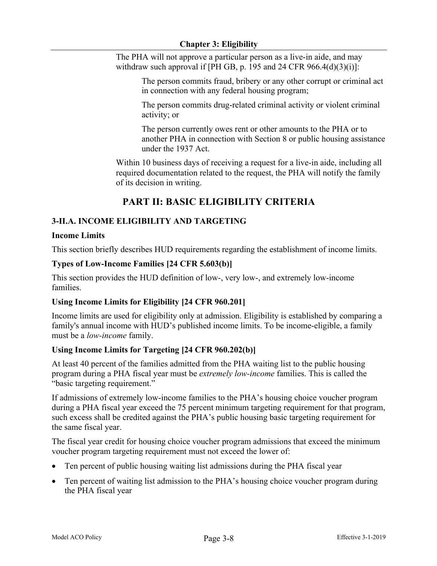The PHA will not approve a particular person as a live-in aide, and may withdraw such approval if [PH GB, p. 195 and 24 CFR  $966.4(d)(3)(i)$ ]:

> The person commits fraud, bribery or any other corrupt or criminal act in connection with any federal housing program;

The person commits drug-related criminal activity or violent criminal activity; or

The person currently owes rent or other amounts to the PHA or to another PHA in connection with Section 8 or public housing assistance under the 1937 Act.

Within 10 business days of receiving a request for a live-in aide, including all required documentation related to the request, the PHA will notify the family of its decision in writing.

# **PART II: BASIC ELIGIBILITY CRITERIA**

# **3-II.A. INCOME ELIGIBILITY AND TARGETING**

### **Income Limits**

This section briefly describes HUD requirements regarding the establishment of income limits.

### **Types of Low-Income Families [24 CFR 5.603(b)]**

This section provides the HUD definition of low-, very low-, and extremely low-income families.

# **Using Income Limits for Eligibility [24 CFR 960.201]**

Income limits are used for eligibility only at admission. Eligibility is established by comparing a family's annual income with HUD's published income limits. To be income-eligible, a family must be a *low-income* family.

# **Using Income Limits for Targeting [24 CFR 960.202(b)]**

At least 40 percent of the families admitted from the PHA waiting list to the public housing program during a PHA fiscal year must be *extremely low-income* families. This is called the "basic targeting requirement."

If admissions of extremely low-income families to the PHA's housing choice voucher program during a PHA fiscal year exceed the 75 percent minimum targeting requirement for that program, such excess shall be credited against the PHA's public housing basic targeting requirement for the same fiscal year.

The fiscal year credit for housing choice voucher program admissions that exceed the minimum voucher program targeting requirement must not exceed the lower of:

- Ten percent of public housing waiting list admissions during the PHA fiscal year
- Ten percent of waiting list admission to the PHA's housing choice voucher program during the PHA fiscal year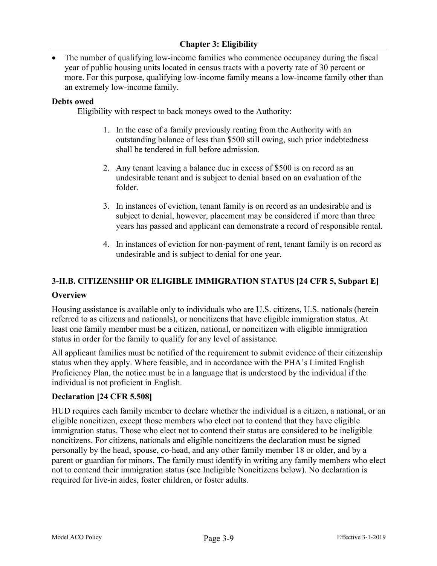• The number of qualifying low-income families who commence occupancy during the fiscal year of public housing units located in census tracts with a poverty rate of 30 percent or more. For this purpose, qualifying low-income family means a low-income family other than an extremely low-income family.

#### **Debts owed**

Eligibility with respect to back moneys owed to the Authority:

- 1. In the case of a family previously renting from the Authority with an outstanding balance of less than \$500 still owing, such prior indebtedness shall be tendered in full before admission.
- 2. Any tenant leaving a balance due in excess of \$500 is on record as an undesirable tenant and is subject to denial based on an evaluation of the folder.
- 3. In instances of eviction, tenant family is on record as an undesirable and is subject to denial, however, placement may be considered if more than three years has passed and applicant can demonstrate a record of responsible rental.
- 4. In instances of eviction for non-payment of rent, tenant family is on record as undesirable and is subject to denial for one year.

### **3-II.B. CITIZENSHIP OR ELIGIBLE IMMIGRATION STATUS [24 CFR 5, Subpart E]**

#### **Overview**

Housing assistance is available only to individuals who are U.S. citizens, U.S. nationals (herein referred to as citizens and nationals), or noncitizens that have eligible immigration status. At least one family member must be a citizen, national, or noncitizen with eligible immigration status in order for the family to qualify for any level of assistance.

All applicant families must be notified of the requirement to submit evidence of their citizenship status when they apply. Where feasible, and in accordance with the PHA's Limited English Proficiency Plan, the notice must be in a language that is understood by the individual if the individual is not proficient in English.

#### **Declaration [24 CFR 5.508]**

HUD requires each family member to declare whether the individual is a citizen, a national, or an eligible noncitizen, except those members who elect not to contend that they have eligible immigration status. Those who elect not to contend their status are considered to be ineligible noncitizens. For citizens, nationals and eligible noncitizens the declaration must be signed personally by the head, spouse, co-head, and any other family member 18 or older, and by a parent or guardian for minors. The family must identify in writing any family members who elect not to contend their immigration status (see Ineligible Noncitizens below). No declaration is required for live-in aides, foster children, or foster adults.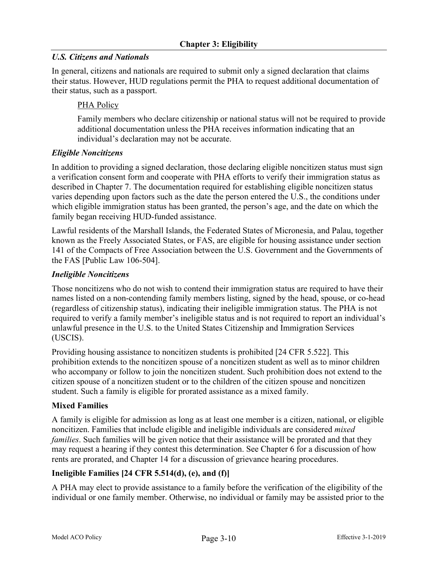# *U.S. Citizens and Nationals*

In general, citizens and nationals are required to submit only a signed declaration that claims their status. However, HUD regulations permit the PHA to request additional documentation of their status, such as a passport.

# PHA Policy

Family members who declare citizenship or national status will not be required to provide additional documentation unless the PHA receives information indicating that an individual's declaration may not be accurate.

# *Eligible Noncitizens*

In addition to providing a signed declaration, those declaring eligible noncitizen status must sign a verification consent form and cooperate with PHA efforts to verify their immigration status as described in Chapter 7. The documentation required for establishing eligible noncitizen status varies depending upon factors such as the date the person entered the U.S., the conditions under which eligible immigration status has been granted, the person's age, and the date on which the family began receiving HUD-funded assistance.

Lawful residents of the Marshall Islands, the Federated States of Micronesia, and Palau, together known as the Freely Associated States, or FAS, are eligible for housing assistance under section 141 of the Compacts of Free Association between the U.S. Government and the Governments of the FAS [Public Law 106-504].

# *Ineligible Noncitizens*

Those noncitizens who do not wish to contend their immigration status are required to have their names listed on a non-contending family members listing, signed by the head, spouse, or co-head (regardless of citizenship status), indicating their ineligible immigration status. The PHA is not required to verify a family member's ineligible status and is not required to report an individual's unlawful presence in the U.S. to the United States Citizenship and Immigration Services (USCIS).

Providing housing assistance to noncitizen students is prohibited [24 CFR 5.522]. This prohibition extends to the noncitizen spouse of a noncitizen student as well as to minor children who accompany or follow to join the noncitizen student. Such prohibition does not extend to the citizen spouse of a noncitizen student or to the children of the citizen spouse and noncitizen student. Such a family is eligible for prorated assistance as a mixed family.

# **Mixed Families**

A family is eligible for admission as long as at least one member is a citizen, national, or eligible noncitizen. Families that include eligible and ineligible individuals are considered *mixed families*. Such families will be given notice that their assistance will be prorated and that they may request a hearing if they contest this determination. See Chapter 6 for a discussion of how rents are prorated, and Chapter 14 for a discussion of grievance hearing procedures.

# **Ineligible Families [24 CFR 5.514(d), (e), and (f)]**

A PHA may elect to provide assistance to a family before the verification of the eligibility of the individual or one family member. Otherwise, no individual or family may be assisted prior to the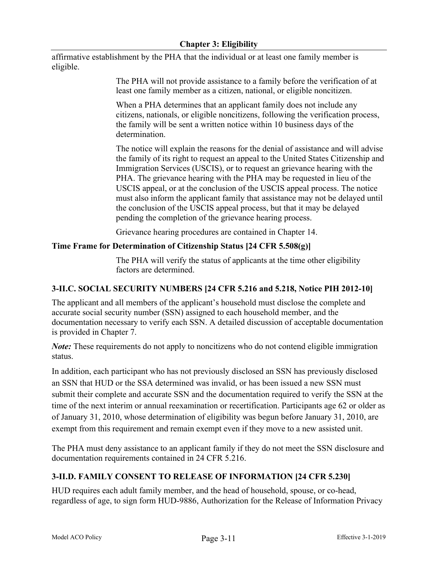affirmative establishment by the PHA that the individual or at least one family member is eligible.

> The PHA will not provide assistance to a family before the verification of at least one family member as a citizen, national, or eligible noncitizen.

> When a PHA determines that an applicant family does not include any citizens, nationals, or eligible noncitizens, following the verification process, the family will be sent a written notice within 10 business days of the determination.

The notice will explain the reasons for the denial of assistance and will advise the family of its right to request an appeal to the United States Citizenship and Immigration Services (USCIS), or to request an grievance hearing with the PHA. The grievance hearing with the PHA may be requested in lieu of the USCIS appeal, or at the conclusion of the USCIS appeal process. The notice must also inform the applicant family that assistance may not be delayed until the conclusion of the USCIS appeal process, but that it may be delayed pending the completion of the grievance hearing process.

Grievance hearing procedures are contained in Chapter 14.

# **Time Frame for Determination of Citizenship Status [24 CFR 5.508(g)]**

The PHA will verify the status of applicants at the time other eligibility factors are determined.

# **3-II.C. SOCIAL SECURITY NUMBERS [24 CFR 5.216 and 5.218, Notice PIH 2012-10]**

The applicant and all members of the applicant's household must disclose the complete and accurate social security number (SSN) assigned to each household member, and the documentation necessary to verify each SSN. A detailed discussion of acceptable documentation is provided in Chapter 7.

*Note:* These requirements do not apply to noncitizens who do not contend eligible immigration status.

In addition, each participant who has not previously disclosed an SSN has previously disclosed an SSN that HUD or the SSA determined was invalid, or has been issued a new SSN must submit their complete and accurate SSN and the documentation required to verify the SSN at the time of the next interim or annual reexamination or recertification. Participants age 62 or older as of January 31, 2010, whose determination of eligibility was begun before January 31, 2010, are exempt from this requirement and remain exempt even if they move to a new assisted unit.

The PHA must deny assistance to an applicant family if they do not meet the SSN disclosure and documentation requirements contained in 24 CFR 5.216.

# **3-II.D. FAMILY CONSENT TO RELEASE OF INFORMATION [24 CFR 5.230]**

HUD requires each adult family member, and the head of household, spouse, or co-head, regardless of age, to sign form HUD-9886, Authorization for the Release of Information Privacy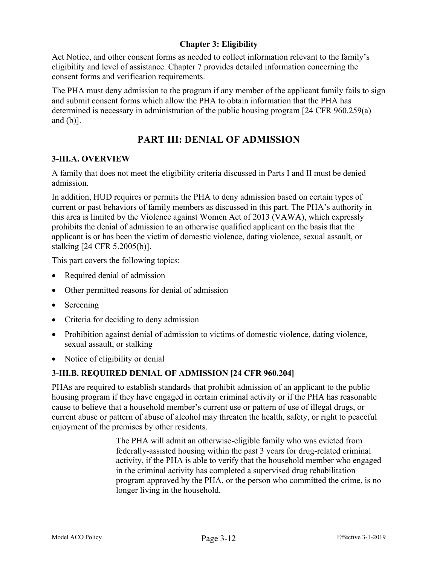Act Notice, and other consent forms as needed to collect information relevant to the family's eligibility and level of assistance. Chapter 7 provides detailed information concerning the consent forms and verification requirements.

The PHA must deny admission to the program if any member of the applicant family fails to sign and submit consent forms which allow the PHA to obtain information that the PHA has determined is necessary in administration of the public housing program [24 CFR 960.259(a) and (b)].

# **PART III: DENIAL OF ADMISSION**

# **3-III.A. OVERVIEW**

A family that does not meet the eligibility criteria discussed in Parts I and II must be denied admission.

In addition, HUD requires or permits the PHA to deny admission based on certain types of current or past behaviors of family members as discussed in this part. The PHA's authority in this area is limited by the Violence against Women Act of 2013 (VAWA), which expressly prohibits the denial of admission to an otherwise qualified applicant on the basis that the applicant is or has been the victim of domestic violence, dating violence, sexual assault, or stalking [24 CFR 5.2005(b)].

This part covers the following topics:

- Required denial of admission
- Other permitted reasons for denial of admission
- Screening
- Criteria for deciding to deny admission
- Prohibition against denial of admission to victims of domestic violence, dating violence, sexual assault, or stalking
- Notice of eligibility or denial

# **3-III.B. REQUIRED DENIAL OF ADMISSION [24 CFR 960.204]**

PHAs are required to establish standards that prohibit admission of an applicant to the public housing program if they have engaged in certain criminal activity or if the PHA has reasonable cause to believe that a household member's current use or pattern of use of illegal drugs, or current abuse or pattern of abuse of alcohol may threaten the health, safety, or right to peaceful enjoyment of the premises by other residents.

> The PHA will admit an otherwise-eligible family who was evicted from federally-assisted housing within the past 3 years for drug-related criminal activity, if the PHA is able to verify that the household member who engaged in the criminal activity has completed a supervised drug rehabilitation program approved by the PHA, or the person who committed the crime, is no longer living in the household.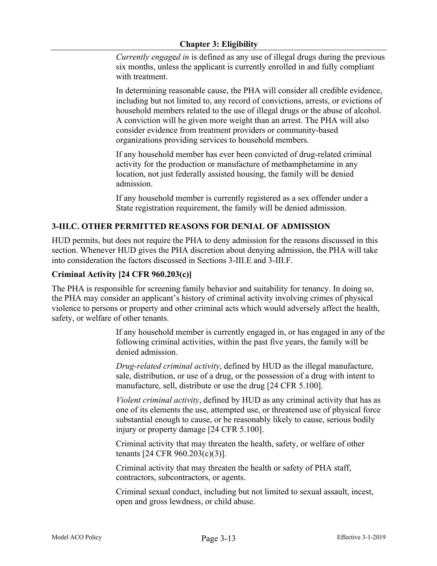*Currently engag*e*d in* is defined as any use of illegal drugs during the previous six months, unless the applicant is currently enrolled in and fully compliant with treatment.

In determining reasonable cause, the PHA will consider all credible evidence, including but not limited to, any record of convictions, arrests, or evictions of household members related to the use of illegal drugs or the abuse of alcohol. A conviction will be given more weight than an arrest. The PHA will also consider evidence from treatment providers or community-based organizations providing services to household members.

If any household member has ever been convicted of drug-related criminal activity for the production or manufacture of methamphetamine in any location, not just federally assisted housing, the family will be denied admission.

If any household member is currently registered as a sex offender under a State registration requirement, the family will be denied admission.

# **3-III.C. OTHER PERMITTED REASONS FOR DENIAL OF ADMISSION**

HUD permits, but does not require the PHA to deny admission for the reasons discussed in this section. Whenever HUD gives the PHA discretion about denying admission, the PHA will take into consideration the factors discussed in Sections 3-III.E and 3-III.F.

# **Criminal Activity [24 CFR 960.203(c)]**

The PHA is responsible for screening family behavior and suitability for tenancy. In doing so, the PHA may consider an applicant's history of criminal activity involving crimes of physical violence to persons or property and other criminal acts which would adversely affect the health, safety, or welfare of other tenants.

> If any household member is currently engaged in, or has engaged in any of the following criminal activities, within the past five years, the family will be denied admission.

*Drug-related criminal activity*, defined by HUD as the illegal manufacture, sale, distribution, or use of a drug, or the possession of a drug with intent to manufacture, sell, distribute or use the drug [24 CFR 5.100].

*Violent criminal activity*, defined by HUD as any criminal activity that has as one of its elements the use, attempted use, or threatened use of physical force substantial enough to cause, or be reasonably likely to cause, serious bodily injury or property damage [24 CFR 5.100].

Criminal activity that may threaten the health, safety, or welfare of other tenants [24 CFR 960.203(c)(3)].

Criminal activity that may threaten the health or safety of PHA staff, contractors, subcontractors, or agents.

Criminal sexual conduct, including but not limited to sexual assault, incest, open and gross lewdness, or child abuse.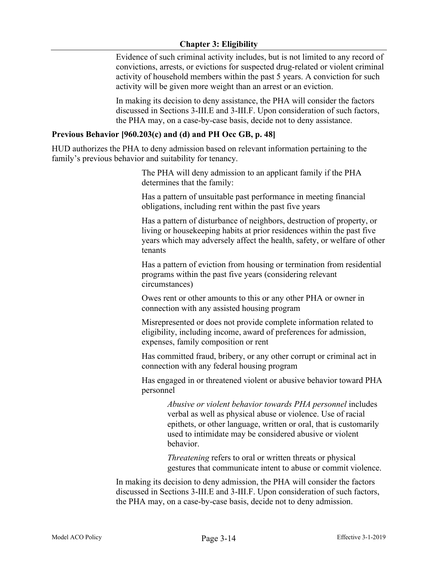### **Chapter 3: Eligibility**

Evidence of such criminal activity includes, but is not limited to any record of convictions, arrests, or evictions for suspected drug-related or violent criminal activity of household members within the past 5 years. A conviction for such activity will be given more weight than an arrest or an eviction.

In making its decision to deny assistance, the PHA will consider the factors discussed in Sections 3-III.E and 3-III.F. Upon consideration of such factors, the PHA may, on a case-by-case basis, decide not to deny assistance.

#### **Previous Behavior [960.203(c) and (d) and PH Occ GB, p. 48]**

HUD authorizes the PHA to deny admission based on relevant information pertaining to the family's previous behavior and suitability for tenancy.

> The PHA will deny admission to an applicant family if the PHA determines that the family:

Has a pattern of unsuitable past performance in meeting financial obligations, including rent within the past five years

Has a pattern of disturbance of neighbors, destruction of property, or living or housekeeping habits at prior residences within the past five years which may adversely affect the health, safety, or welfare of other tenants

Has a pattern of eviction from housing or termination from residential programs within the past five years (considering relevant circumstances)

Owes rent or other amounts to this or any other PHA or owner in connection with any assisted housing program

Misrepresented or does not provide complete information related to eligibility, including income, award of preferences for admission, expenses, family composition or rent

Has committed fraud, bribery, or any other corrupt or criminal act in connection with any federal housing program

Has engaged in or threatened violent or abusive behavior toward PHA personnel

> *Abusive or violent behavior towards PHA personnel* includes verbal as well as physical abuse or violence. Use of racial epithets, or other language, written or oral, that is customarily used to intimidate may be considered abusive or violent behavior.

*Threatening* refers to oral or written threats or physical gestures that communicate intent to abuse or commit violence.

In making its decision to deny admission, the PHA will consider the factors discussed in Sections 3-III.E and 3-III.F. Upon consideration of such factors, the PHA may, on a case-by-case basis, decide not to deny admission.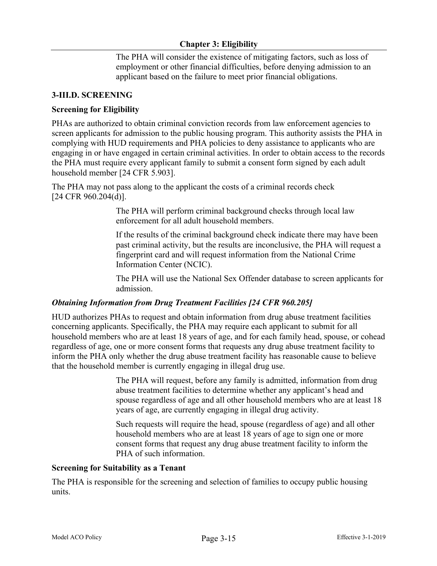The PHA will consider the existence of mitigating factors, such as loss of employment or other financial difficulties, before denying admission to an applicant based on the failure to meet prior financial obligations.

### **3-III.D. SCREENING**

### **Screening for Eligibility**

PHAs are authorized to obtain criminal conviction records from law enforcement agencies to screen applicants for admission to the public housing program. This authority assists the PHA in complying with HUD requirements and PHA policies to deny assistance to applicants who are engaging in or have engaged in certain criminal activities. In order to obtain access to the records the PHA must require every applicant family to submit a consent form signed by each adult household member [24 CFR 5.903].

The PHA may not pass along to the applicant the costs of a criminal records check [24 CFR 960.204(d)].

> The PHA will perform criminal background checks through local law enforcement for all adult household members.

If the results of the criminal background check indicate there may have been past criminal activity, but the results are inconclusive, the PHA will request a fingerprint card and will request information from the National Crime Information Center (NCIC).

The PHA will use the National Sex Offender database to screen applicants for admission.

#### *Obtaining Information from Drug Treatment Facilities [24 CFR 960.205]*

HUD authorizes PHAs to request and obtain information from drug abuse treatment facilities concerning applicants. Specifically, the PHA may require each applicant to submit for all household members who are at least 18 years of age, and for each family head, spouse, or cohead regardless of age, one or more consent forms that requests any drug abuse treatment facility to inform the PHA only whether the drug abuse treatment facility has reasonable cause to believe that the household member is currently engaging in illegal drug use.

> The PHA will request, before any family is admitted, information from drug abuse treatment facilities to determine whether any applicant's head and spouse regardless of age and all other household members who are at least 18 years of age, are currently engaging in illegal drug activity.

Such requests will require the head, spouse (regardless of age) and all other household members who are at least 18 years of age to sign one or more consent forms that request any drug abuse treatment facility to inform the PHA of such information.

#### **Screening for Suitability as a Tenant**

The PHA is responsible for the screening and selection of families to occupy public housing units.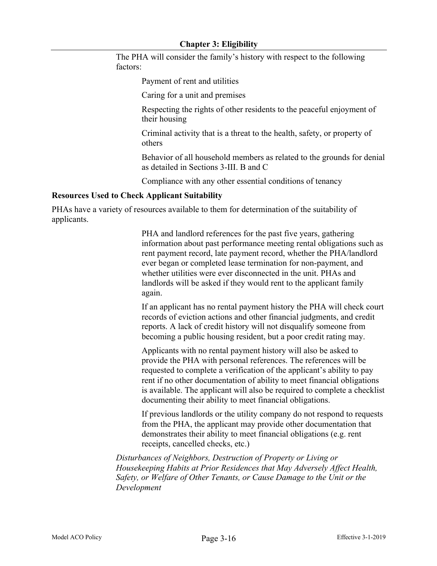The PHA will consider the family's history with respect to the following factors:

Payment of rent and utilities

Caring for a unit and premises

Respecting the rights of other residents to the peaceful enjoyment of their housing

Criminal activity that is a threat to the health, safety, or property of others

Behavior of all household members as related to the grounds for denial as detailed in Sections 3-III. B and C

Compliance with any other essential conditions of tenancy

#### **Resources Used to Check Applicant Suitability**

PHAs have a variety of resources available to them for determination of the suitability of applicants.

> PHA and landlord references for the past five years, gathering information about past performance meeting rental obligations such as rent payment record, late payment record, whether the PHA/landlord ever began or completed lease termination for non-payment, and whether utilities were ever disconnected in the unit. PHAs and landlords will be asked if they would rent to the applicant family again.

> If an applicant has no rental payment history the PHA will check court records of eviction actions and other financial judgments, and credit reports. A lack of credit history will not disqualify someone from becoming a public housing resident, but a poor credit rating may.

> Applicants with no rental payment history will also be asked to provide the PHA with personal references. The references will be requested to complete a verification of the applicant's ability to pay rent if no other documentation of ability to meet financial obligations is available. The applicant will also be required to complete a checklist documenting their ability to meet financial obligations.

> If previous landlords or the utility company do not respond to requests from the PHA, the applicant may provide other documentation that demonstrates their ability to meet financial obligations (e.g. rent receipts, cancelled checks, etc.)

*Disturbances of Neighbors, Destruction of Property or Living or Housekeeping Habits at Prior Residences that May Adversely Affect Health, Safety, or Welfare of Other Tenants, or Cause Damage to the Unit or the Development*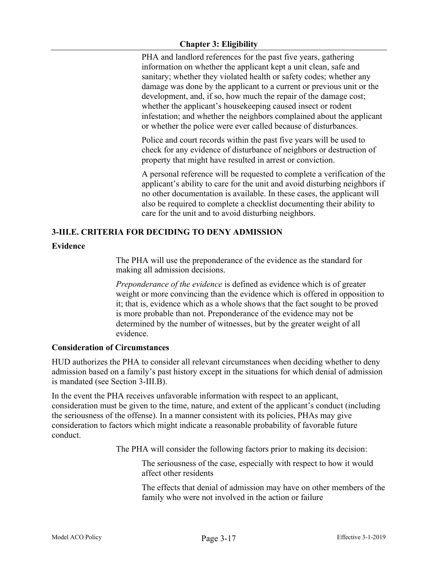### **Chapter 3: Eligibility**

PHA and landlord references for the past five years, gathering information on whether the applicant kept a unit clean, safe and sanitary; whether they violated health or safety codes; whether any damage was done by the applicant to a current or previous unit or the development, and, if so, how much the repair of the damage cost; whether the applicant's housekeeping caused insect or rodent infestation; and whether the neighbors complained about the applicant or whether the police were ever called because of disturbances.

Police and court records within the past five years will be used to check for any evidence of disturbance of neighbors or destruction of property that might have resulted in arrest or conviction.

A personal reference will be requested to complete a verification of the applicant's ability to care for the unit and avoid disturbing neighbors if no other documentation is available. In these cases, the applicant will also be required to complete a checklist documenting their ability to care for the unit and to avoid disturbing neighbors.

# **3-III.E. CRITERIA FOR DECIDING TO DENY ADMISSION**

### **Evidence**

The PHA will use the preponderance of the evidence as the standard for making all admission decisions.

*Preponderance of the evidence* is defined as evidence which is of greater weight or more convincing than the evidence which is offered in opposition to it; that is, evidence which as a whole shows that the fact sought to be proved is more probable than not. Preponderance of the evidence may not be determined by the number of witnesses, but by the greater weight of all evidence.

#### **Consideration of Circumstances**

HUD authorizes the PHA to consider all relevant circumstances when deciding whether to deny admission based on a family's past history except in the situations for which denial of admission is mandated (see Section 3-III.B).

In the event the PHA receives unfavorable information with respect to an applicant, consideration must be given to the time, nature, and extent of the applicant's conduct (including the seriousness of the offense). In a manner consistent with its policies, PHAs may give consideration to factors which might indicate a reasonable probability of favorable future conduct.

The PHA will consider the following factors prior to making its decision:

The seriousness of the case, especially with respect to how it would affect other residents

The effects that denial of admission may have on other members of the family who were not involved in the action or failure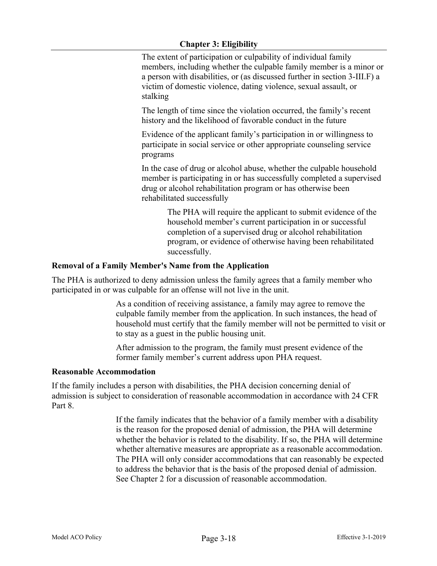### **Chapter 3: Eligibility**

The extent of participation or culpability of individual family members, including whether the culpable family member is a minor or a person with disabilities, or (as discussed further in section 3-III.F) a victim of domestic violence, dating violence, sexual assault, or stalking

The length of time since the violation occurred, the family's recent history and the likelihood of favorable conduct in the future

Evidence of the applicant family's participation in or willingness to participate in social service or other appropriate counseling service programs

In the case of drug or alcohol abuse, whether the culpable household member is participating in or has successfully completed a supervised drug or alcohol rehabilitation program or has otherwise been rehabilitated successfully

> The PHA will require the applicant to submit evidence of the household member's current participation in or successful completion of a supervised drug or alcohol rehabilitation program, or evidence of otherwise having been rehabilitated successfully.

### **Removal of a Family Member's Name from the Application**

The PHA is authorized to deny admission unless the family agrees that a family member who participated in or was culpable for an offense will not live in the unit.

> As a condition of receiving assistance, a family may agree to remove the culpable family member from the application. In such instances, the head of household must certify that the family member will not be permitted to visit or to stay as a guest in the public housing unit.

After admission to the program, the family must present evidence of the former family member's current address upon PHA request.

#### **Reasonable Accommodation**

If the family includes a person with disabilities, the PHA decision concerning denial of admission is subject to consideration of reasonable accommodation in accordance with 24 CFR Part 8.

> If the family indicates that the behavior of a family member with a disability is the reason for the proposed denial of admission, the PHA will determine whether the behavior is related to the disability. If so, the PHA will determine whether alternative measures are appropriate as a reasonable accommodation. The PHA will only consider accommodations that can reasonably be expected to address the behavior that is the basis of the proposed denial of admission. See Chapter 2 for a discussion of reasonable accommodation.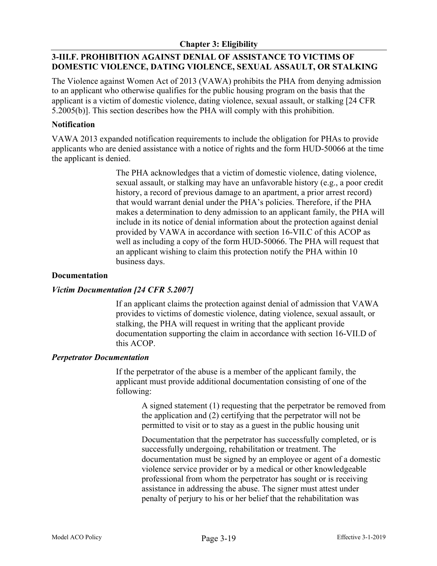# **3-III.F. PROHIBITION AGAINST DENIAL OF ASSISTANCE TO VICTIMS OF DOMESTIC VIOLENCE, DATING VIOLENCE, SEXUAL ASSAULT, OR STALKING**

The Violence against Women Act of 2013 (VAWA) prohibits the PHA from denying admission to an applicant who otherwise qualifies for the public housing program on the basis that the applicant is a victim of domestic violence, dating violence, sexual assault, or stalking [24 CFR 5.2005(b)]. This section describes how the PHA will comply with this prohibition.

### **Notification**

VAWA 2013 expanded notification requirements to include the obligation for PHAs to provide applicants who are denied assistance with a notice of rights and the form HUD-50066 at the time the applicant is denied.

> The PHA acknowledges that a victim of domestic violence, dating violence, sexual assault, or stalking may have an unfavorable history (e.g., a poor credit history, a record of previous damage to an apartment, a prior arrest record) that would warrant denial under the PHA's policies. Therefore, if the PHA makes a determination to deny admission to an applicant family, the PHA will include in its notice of denial information about the protection against denial provided by VAWA in accordance with section 16-VII.C of this ACOP as well as including a copy of the form HUD-50066. The PHA will request that an applicant wishing to claim this protection notify the PHA within 10 business days.

### **Documentation**

# *Victim Documentation [24 CFR 5.2007]*

If an applicant claims the protection against denial of admission that VAWA provides to victims of domestic violence, dating violence, sexual assault, or stalking, the PHA will request in writing that the applicant provide documentation supporting the claim in accordance with section 16-VII.D of this ACOP.

#### *Perpetrator Documentation*

If the perpetrator of the abuse is a member of the applicant family, the applicant must provide additional documentation consisting of one of the following:

> A signed statement (1) requesting that the perpetrator be removed from the application and (2) certifying that the perpetrator will not be permitted to visit or to stay as a guest in the public housing unit

Documentation that the perpetrator has successfully completed, or is successfully undergoing, rehabilitation or treatment. The documentation must be signed by an employee or agent of a domestic violence service provider or by a medical or other knowledgeable professional from whom the perpetrator has sought or is receiving assistance in addressing the abuse. The signer must attest under penalty of perjury to his or her belief that the rehabilitation was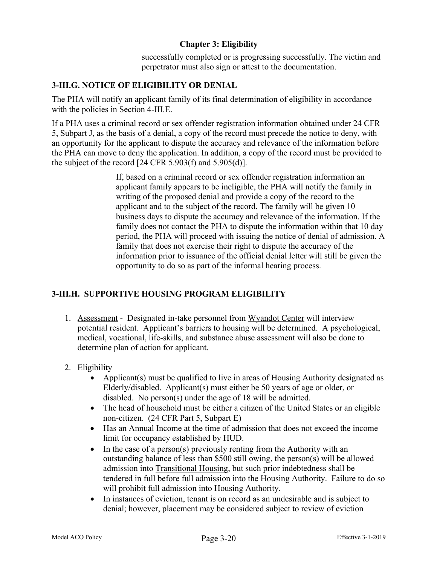successfully completed or is progressing successfully. The victim and perpetrator must also sign or attest to the documentation.

# **3-III.G. NOTICE OF ELIGIBILITY OR DENIAL**

The PHA will notify an applicant family of its final determination of eligibility in accordance with the policies in Section 4-III.E.

If a PHA uses a criminal record or sex offender registration information obtained under 24 CFR 5, Subpart J, as the basis of a denial, a copy of the record must precede the notice to deny, with an opportunity for the applicant to dispute the accuracy and relevance of the information before the PHA can move to deny the application. In addition, a copy of the record must be provided to the subject of the record  $[24 \text{ CFR } 5.903 \text{ (f) and } 5.905 \text{ (d)}]$ .

> If, based on a criminal record or sex offender registration information an applicant family appears to be ineligible, the PHA will notify the family in writing of the proposed denial and provide a copy of the record to the applicant and to the subject of the record. The family will be given 10 business days to dispute the accuracy and relevance of the information. If the family does not contact the PHA to dispute the information within that 10 day period, the PHA will proceed with issuing the notice of denial of admission. A family that does not exercise their right to dispute the accuracy of the information prior to issuance of the official denial letter will still be given the opportunity to do so as part of the informal hearing process.

# **3-III.H. SUPPORTIVE HOUSING PROGRAM ELIGIBILITY**

- 1. Assessment Designated in-take personnel from Wyandot Center will interview potential resident. Applicant's barriers to housing will be determined. A psychological, medical, vocational, life-skills, and substance abuse assessment will also be done to determine plan of action for applicant.
- 2. Eligibility
	- Applicant(s) must be qualified to live in areas of Housing Authority designated as Elderly/disabled. Applicant(s) must either be 50 years of age or older, or disabled. No person(s) under the age of 18 will be admitted.
	- The head of household must be either a citizen of the United States or an eligible non-citizen. (24 CFR Part 5, Subpart E)
	- Has an Annual Income at the time of admission that does not exceed the income limit for occupancy established by HUD.
	- In the case of a person(s) previously renting from the Authority with an outstanding balance of less than \$500 still owing, the person(s) will be allowed admission into Transitional Housing, but such prior indebtedness shall be tendered in full before full admission into the Housing Authority. Failure to do so will prohibit full admission into Housing Authority.
	- In instances of eviction, tenant is on record as an undesirable and is subject to denial; however, placement may be considered subject to review of eviction